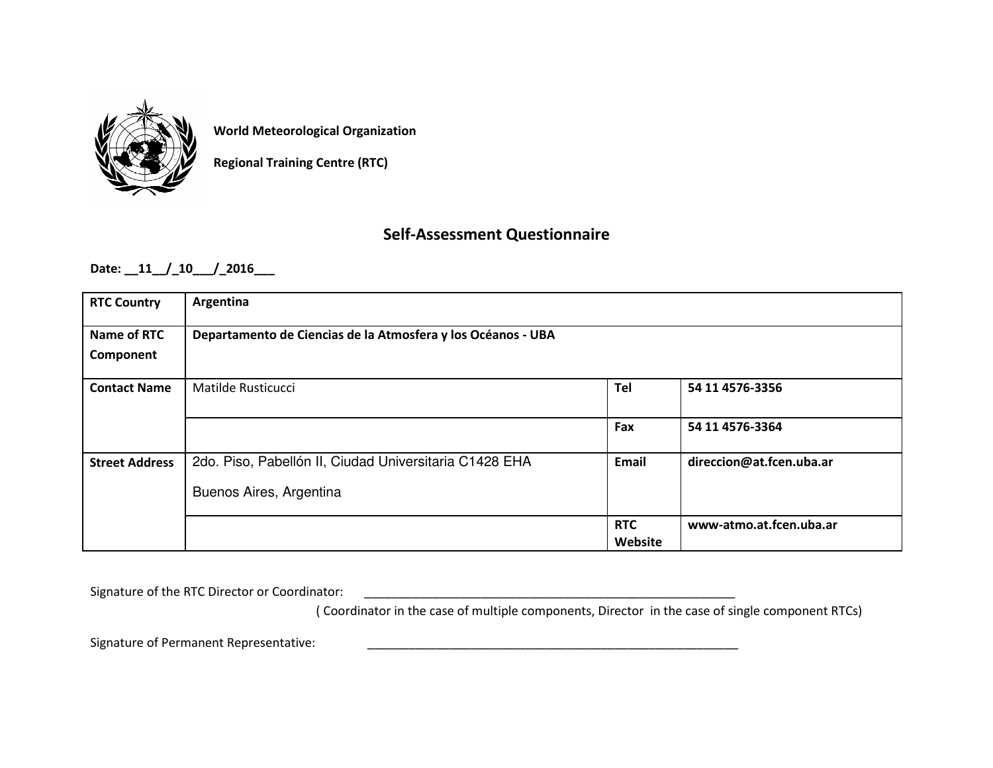

**World Meteorological Organization**

**Regional Training Centre (RTC)**

# **Self-Assessment Questionnaire**

**Date: \_\_11\_\_/\_10\_\_\_/\_2016\_\_\_**

| <b>RTC Country</b>    | Argentina                                                    |            |                          |  |  |  |
|-----------------------|--------------------------------------------------------------|------------|--------------------------|--|--|--|
| Name of RTC           | Departamento de Ciencias de la Atmosfera y los Océanos - UBA |            |                          |  |  |  |
| Component             |                                                              |            |                          |  |  |  |
| <b>Contact Name</b>   | Matilde Rusticucci                                           | Tel        | 54 11 4576-3356          |  |  |  |
|                       |                                                              |            |                          |  |  |  |
|                       |                                                              | Fax        | 54 11 4576-3364          |  |  |  |
| <b>Street Address</b> | 2do. Piso, Pabellón II, Ciudad Universitaria C1428 EHA       | Email      | direccion@at.fcen.uba.ar |  |  |  |
|                       | Buenos Aires, Argentina                                      |            |                          |  |  |  |
|                       |                                                              | <b>RTC</b> | www-atmo.at.fcen.uba.ar  |  |  |  |
|                       |                                                              | Website    |                          |  |  |  |

Signature of the RTC Director or Coordinator: \_\_\_\_\_\_\_\_\_\_\_\_\_\_\_\_\_\_\_\_\_\_\_\_\_\_\_\_\_\_\_\_\_\_

( Coordinator in the case of multiple components, Director in the case of single component RTCs)

Signature of Permanent Representative: **Example 2018**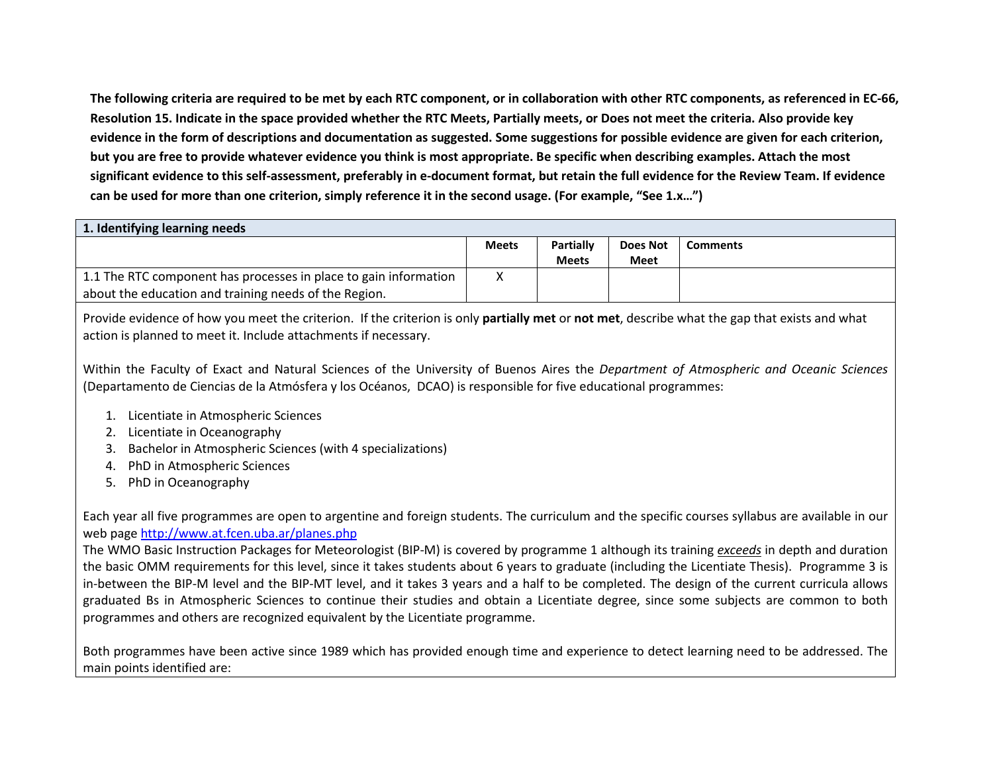**The following criteria are required to be met by each RTC component, or in collaboration with other RTC components, as referenced in EC-66, Resolution 15. Indicate in the space provided whether the RTC Meets, Partially meets, or Does not meet the criteria. Also provide key evidence in the form of descriptions and documentation as suggested. Some suggestions for possible evidence are given for each criterion, but you are free to provide whatever evidence you think is most appropriate. Be specific when describing examples. Attach the most significant evidence to this self-assessment, preferably in e-document format, but retain the full evidence for the Review Team. If evidence can be used for more than one criterion, simply reference it in the second usage. (For example, "See 1.x…")**

| 1. Identifying learning needs                                    |              |                  |                 |                 |  |
|------------------------------------------------------------------|--------------|------------------|-----------------|-----------------|--|
|                                                                  | <b>Meets</b> | <b>Partially</b> | <b>Does Not</b> | <b>Comments</b> |  |
|                                                                  |              | <b>Meets</b>     | Meet            |                 |  |
| 1.1 The RTC component has processes in place to gain information |              |                  |                 |                 |  |
| about the education and training needs of the Region.            |              |                  |                 |                 |  |

Provide evidence of how you meet the criterion. If the criterion is only **partially met** or **not met**, describe what the gap that exists and what action is planned to meet it. Include attachments if necessary.

Within the Faculty of Exact and Natural Sciences of the University of Buenos Aires the *Department of Atmospheric and Oceanic Sciences*(Departamento de Ciencias de la Atmósfera y los Océanos, DCAO) is responsible for five educational programmes:

- 1. Licentiate in Atmospheric Sciences
- 2. Licentiate in Oceanography
- 3. Bachelor in Atmospheric Sciences (with 4 specializations)
- 4. PhD in Atmospheric Sciences
- 5. PhD in Oceanography

Each year all five programmes are open to argentine and foreign students. The curriculum and the specific courses syllabus are available in our web page http://www.at.fcen.uba.ar/planes.php

 The WMO Basic Instruction Packages for Meteorologist (BIP-M) is covered by programme 1 although its training *exceeds* in depth and duration the basic OMM requirements for this level, since it takes students about 6 years to graduate (including the Licentiate Thesis). Programme 3 is in-between the BIP-M level and the BIP-MT level, and it takes 3 years and a half to be completed. The design of the current curricula allows graduated Bs in Atmospheric Sciences to continue their studies and obtain a Licentiate degree, since some subjects are common to both programmes and others are recognized equivalent by the Licentiate programme.

Both programmes have been active since 1989 which has provided enough time and experience to detect learning need to be addressed. The main points identified are: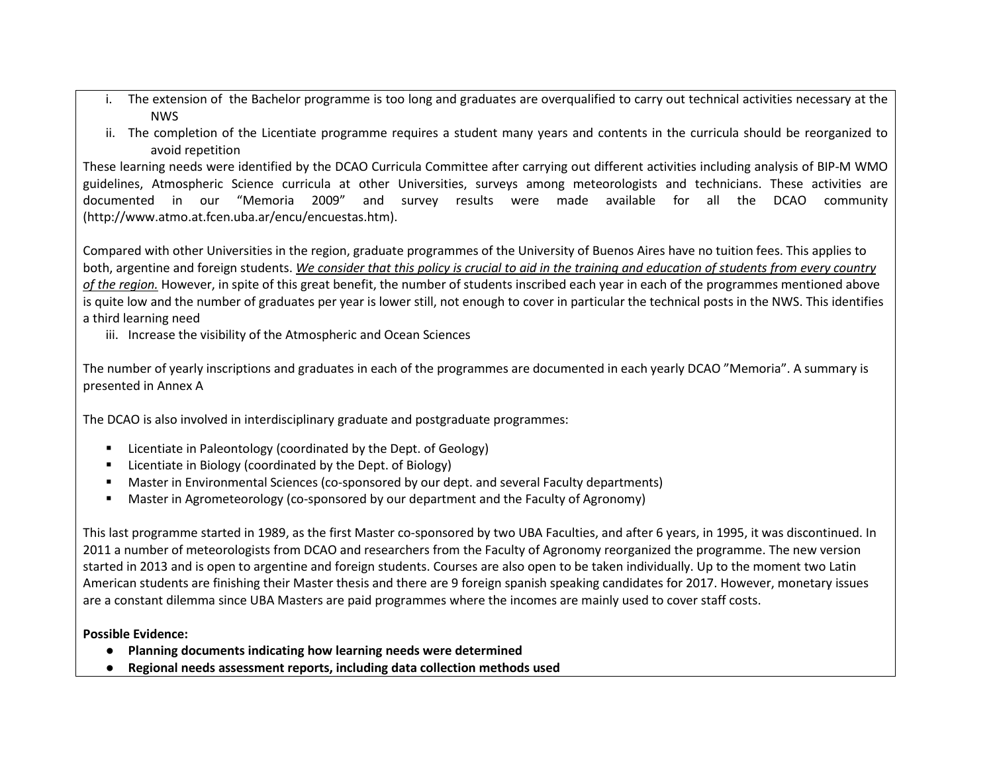- i. The extension of the Bachelor programme is too long and graduates are overqualified to carry out technical activities necessary at the NWS
- ii. The completion of the Licentiate programme requires a student many years and contents in the curricula should be reorganized to avoid repetition

These learning needs were identified by the DCAO Curricula Committee after carrying out different activities including analysis of BIP-M WMO guidelines, Atmospheric Science curricula at other Universities, surveys among meteorologists and technicians. These activities are documented in our "Memoria 2009" and survey results were made available for all the DCAO community (http://www.atmo.at.fcen.uba.ar/encu/encuestas.htm).

Compared with other Universities in the region, graduate programmes of the University of Buenos Aires have no tuition fees. This applies to both, argentine and foreign students. *We consider that this policy is crucial to aid in the training and education of students from every country of the region.* However, in spite of this great benefit, the number of students inscribed each year in each of the programmes mentioned above is quite low and the number of graduates per year is lower still, not enough to cover in particular the technical posts in the NWS. This identifies a third learning need

iii. Increase the visibility of the Atmospheric and Ocean Sciences

The number of yearly inscriptions and graduates in each of the programmes are documented in each yearly DCAO "Memoria". A summary is presented in Annex A

The DCAO is also involved in interdisciplinary graduate and postgraduate programmes:

- п Licentiate in Paleontology (coordinated by the Dept. of Geology)
- W Licentiate in Biology (coordinated by the Dept. of Biology)
- W Master in Environmental Sciences (co-sponsored by our dept. and several Faculty departments)
- $\blacksquare$ Master in Agrometeorology (co-sponsored by our department and the Faculty of Agronomy)

This last programme started in 1989, as the first Master co-sponsored by two UBA Faculties, and after 6 years, in 1995, it was discontinued. In 2011 a number of meteorologists from DCAO and researchers from the Faculty of Agronomy reorganized the programme. The new version started in 2013 and is open to argentine and foreign students. Courses are also open to be taken individually. Up to the moment two Latin American students are finishing their Master thesis and there are 9 foreign spanish speaking candidates for 2017. However, monetary issues are a constant dilemma since UBA Masters are paid programmes where the incomes are mainly used to cover staff costs.

# **Possible Evidence:**

- **Planning documents indicating how learning needs were determined**
- $\bullet$ **Regional needs assessment reports, including data collection methods used**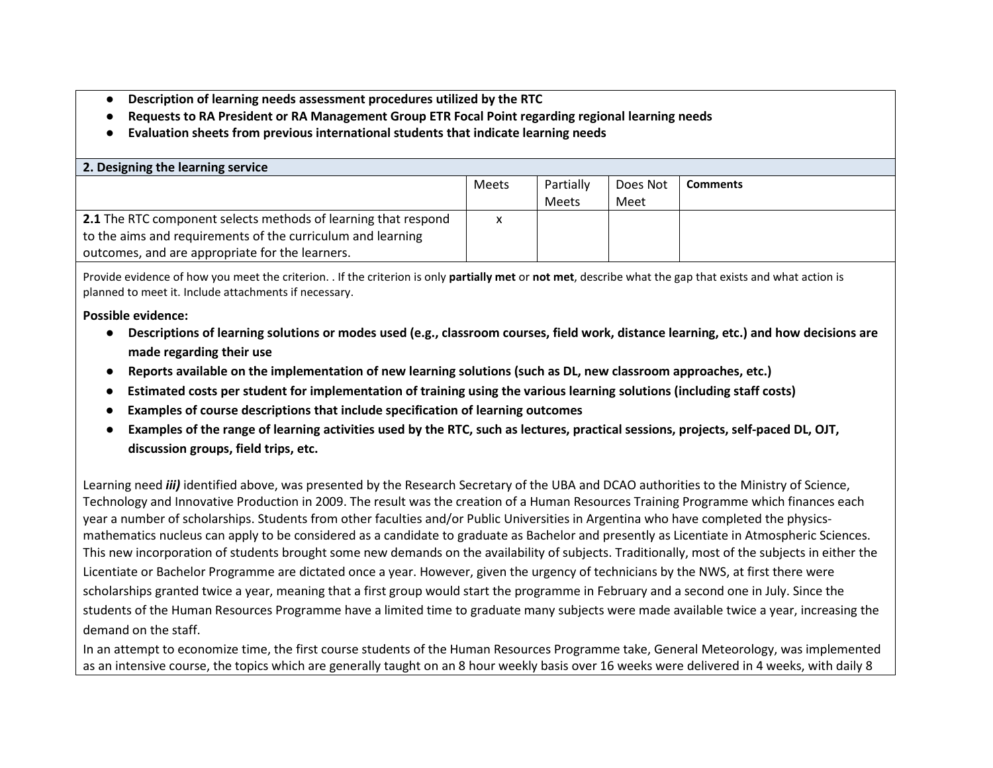- ●**Description of learning needs assessment procedures utilized by the RTC**
- ●**Requests to RA President or RA Management Group ETR Focal Point regarding regional learning needs**
- **Evaluation sheets from previous international students that indicate learning needs**

| 2. Designing the learning service                                     |              |              |          |                 |  |
|-----------------------------------------------------------------------|--------------|--------------|----------|-----------------|--|
|                                                                       | <b>Meets</b> | Partially    | Does Not | <b>Comments</b> |  |
|                                                                       |              | <b>Meets</b> | Meet     |                 |  |
| <b>2.1</b> The RTC component selects methods of learning that respond | x            |              |          |                 |  |
| to the aims and requirements of the curriculum and learning           |              |              |          |                 |  |
| outcomes, and are appropriate for the learners.                       |              |              |          |                 |  |

Provide evidence of how you meet the criterion. . If the criterion is only **partially met** or **not met**, describe what the gap that exists and what action is planned to meet it. Include attachments if necessary.

**Possible evidence:**

- Descriptions of learning solutions or modes used (e.g., classroom courses, field work, distance learning, etc.) and how decisions are **made regarding their use**
- ●**Reports available on the implementation of new learning solutions (such as DL, new classroom approaches, etc.)**
- **Estimated costs per student for implementation of training using the various learning solutions (including staff costs)**
- **Examples of course descriptions that include specification of learning outcomes**
- **Examples of the range of learning activities used by the RTC, such as lectures, practical sessions, projects, self-paced DL, OJT, discussion groups, field trips, etc.**

Learning need *iii)* identified above, was presented by the Research Secretary of the UBA and DCAO authorities to the Ministry of Science, Technology and Innovative Production in 2009. The result was the creation of a Human Resources Training Programme which finances each year a number of scholarships. Students from other faculties and/or Public Universities in Argentina who have completed the physicsmathematics nucleus can apply to be considered as a candidate to graduate as Bachelor and presently as Licentiate in Atmospheric Sciences. This new incorporation of students brought some new demands on the availability of subjects. Traditionally, most of the subjects in either the Licentiate or Bachelor Programme are dictated once a year. However, given the urgency of technicians by the NWS, at first there were scholarships granted twice a year, meaning that a first group would start the programme in February and a second one in July. Since the students of the Human Resources Programme have a limited time to graduate many subjects were made available twice a year, increasing the demand on the staff.

In an attempt to economize time, the first course students of the Human Resources Programme take, General Meteorology, was implemented as an intensive course, the topics which are generally taught on an 8 hour weekly basis over 16 weeks were delivered in 4 weeks, with daily 8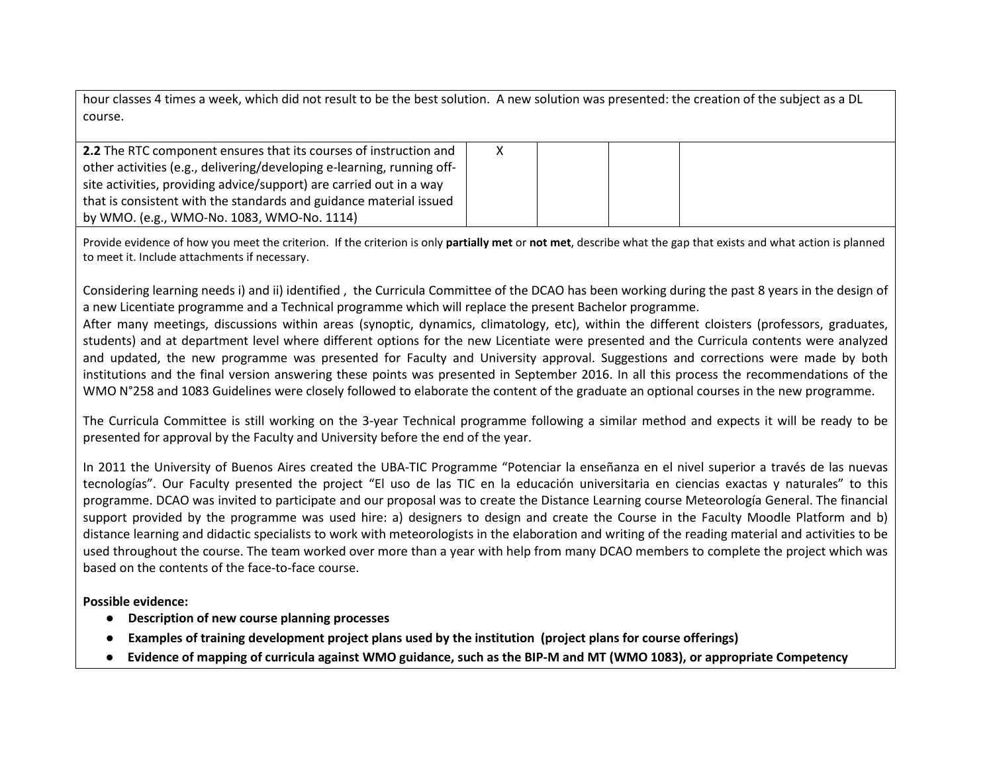hour classes 4 times a week, which did not result to be the best solution. A new solution was presented: the creation of the subject as a DL course.

| <b>2.2</b> The RTC component ensures that its courses of instruction and |  |  |  |
|--------------------------------------------------------------------------|--|--|--|
| other activities (e.g., delivering/developing e-learning, running off-   |  |  |  |
| site activities, providing advice/support) are carried out in a way      |  |  |  |
| that is consistent with the standards and guidance material issued       |  |  |  |
| by WMO. (e.g., WMO-No. 1083, WMO-No. 1114)                               |  |  |  |

Provide evidence of how you meet the criterion. If the criterion is only **partially met** or **not met**, describe what the gap that exists and what action is planned to meet it. Include attachments if necessary.

Considering learning needs i) and ii) identified , the Curricula Committee of the DCAO has been working during the past 8 years in the design of a new Licentiate programme and a Technical programme which will replace the present Bachelor programme.

After many meetings, discussions within areas (synoptic, dynamics, climatology, etc), within the different cloisters (professors, graduates, students) and at department level where different options for the new Licentiate were presented and the Curricula contents were analyzed and updated, the new programme was presented for Faculty and University approval. Suggestions and corrections were made by both institutions and the final version answering these points was presented in September 2016. In all this process the recommendations of the WMO N°258 and 1083 Guidelines were closely followed to elaborate the content of the graduate an optional courses in the new programme.

The Curricula Committee is still working on the 3-year Technical programme following a similar method and expects it will be ready to be presented for approval by the Faculty and University before the end of the year.

In 2011 the University of Buenos Aires created the UBA-TIC Programme "Potenciar la enseñanza en el nivel superior a través de las nuevas tecnologías". Our Faculty presented the project "El uso de las TIC en la educación universitaria en ciencias exactas y naturales" to this programme. DCAO was invited to participate and our proposal was to create the Distance Learning course Meteorología General. The financial support provided by the programme was used hire: a) designers to design and create the Course in the Faculty Moodle Platform and b) distance learning and didactic specialists to work with meteorologists in the elaboration and writing of the reading material and activities to be used throughout the course. The team worked over more than a year with help from many DCAO members to complete the project which was based on the contents of the face-to-face course.

**Possible evidence:**

- **Description of new course planning processes**  ●
- ●**Examples of training development project plans used by the institution (project plans for course offerings)**
- $\bullet$ **Evidence of mapping of curricula against WMO guidance, such as the BIP-M and MT (WMO 1083), or appropriate Competency**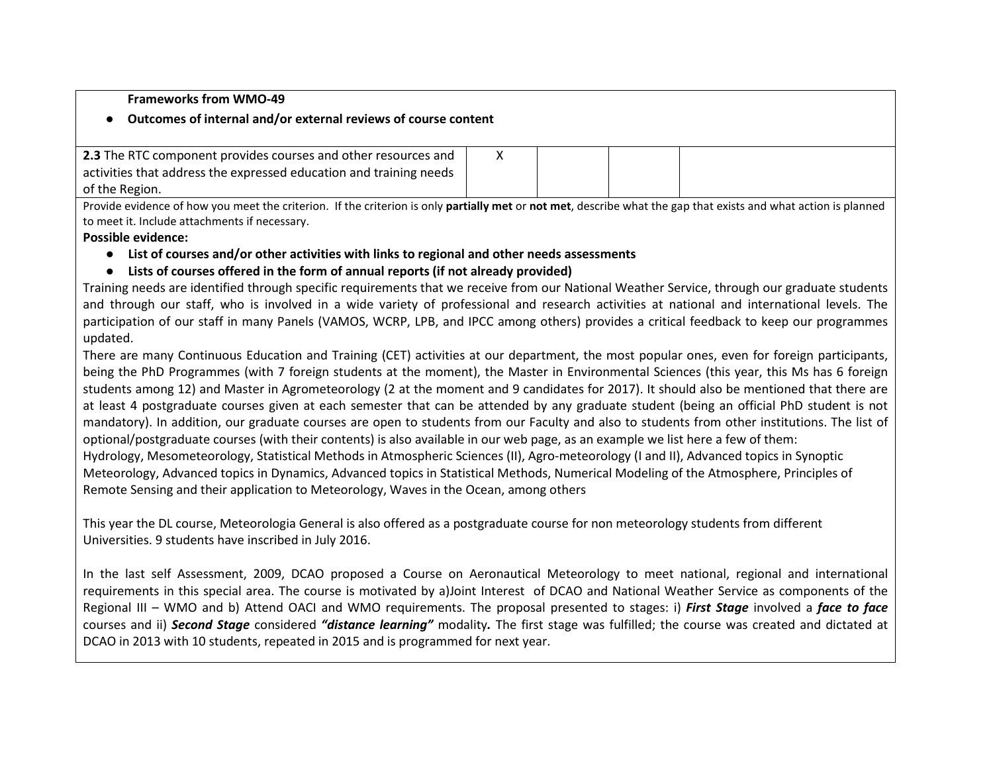#### **Frameworks from WMO-49**

# ● **Outcomes of internal and/or external reviews of course content**

| <b>2.3</b> The RTC component provides courses and other resources and |  |  |
|-----------------------------------------------------------------------|--|--|
| activities that address the expressed education and training needs    |  |  |
| of the Region.                                                        |  |  |

Provide evidence of how you meet the criterion. If the criterion is only **partially met** or **not met**, describe what the gap that exists and what action is planned to meet it. Include attachments if necessary.

#### **Possible evidence:**

- **List of courses and/or other activities with links to regional and other needs assessments**
- **Lists of courses offered in the form of annual reports (if not already provided)**

Training needs are identified through specific requirements that we receive from our National Weather Service, through our graduate students and through our staff, who is involved in a wide variety of professional and research activities at national and international levels. The participation of our staff in many Panels (VAMOS, WCRP, LPB, and IPCC among others) provides a critical feedback to keep our programmes updated.

There are many Continuous Education and Training (CET) activities at our department, the most popular ones, even for foreign participants, being the PhD Programmes (with 7 foreign students at the moment), the Master in Environmental Sciences (this year, this Ms has 6 foreign students among 12) and Master in Agrometeorology (2 at the moment and 9 candidates for 2017). It should also be mentioned that there are at least 4 postgraduate courses given at each semester that can be attended by any graduate student (being an official PhD student is not mandatory). In addition, our graduate courses are open to students from our Faculty and also to students from other institutions. The list of optional/postgraduate courses (with their contents) is also available in our web page, as an example we list here a few of them: Hydrology, Mesometeorology, Statistical Methods in Atmospheric Sciences (II), Agro-meteorology (I and II), Advanced topics in Synoptic Meteorology, Advanced topics in Dynamics, Advanced topics in Statistical Methods, Numerical Modeling of the Atmosphere, Principles of Remote Sensing and their application to Meteorology, Waves in the Ocean, among others

This year the DL course, Meteorologia General is also offered as a postgraduate course for non meteorology students from different Universities. 9 students have inscribed in July 2016.

In the last self Assessment, 2009, DCAO proposed a Course on Aeronautical Meteorology to meet national, regional and international requirements in this special area. The course is motivated by a)Joint Interest of DCAO and National Weather Service as components of the Regional III – WMO and b) Attend OACI and WMO requirements. The proposal presented to stages: i) *First Stage* involved a *face to face*  courses and ii) *Second Stage* considered *"distance learning"* modality*.* The first stage was fulfilled; the course was created and dictated at DCAO in 2013 with 10 students, repeated in 2015 and is programmed for next year.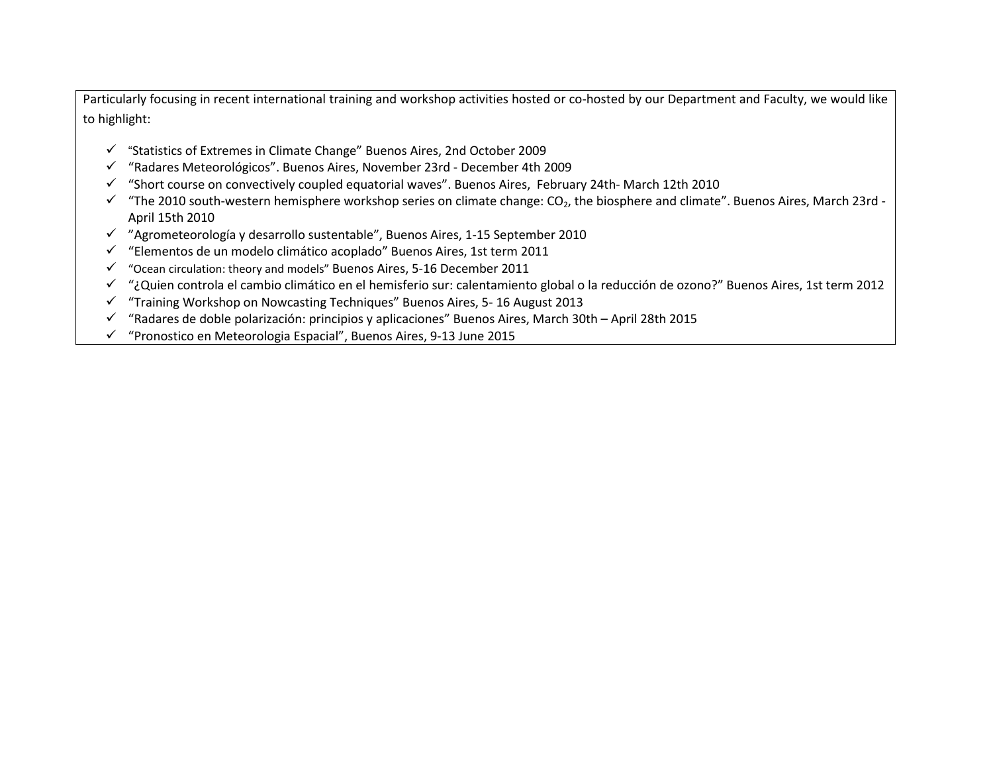Particularly focusing in recent international training and workshop activities hosted or co-hosted by our Department and Faculty, we would liketo highlight:

- "Statistics of Extremes in Climate Change" Buenos Aires, 2nd October 2009
- "Radares Meteorológicos". Buenos Aires, November 23rd December 4th 2009
- "Short course on convectively coupled equatorial waves". Buenos Aires, February 24th- March 12th 2010
- $\checkmark$  "The 2010 south-western hemisphere workshop series on climate change: CO<sub>2</sub>, the biosphere and climate". Buenos Aires, March 23rd -<br>Argil 45th 2010 April 15th 2010
- "Agrometeorología y desarrollo sustentable", Buenos Aires, 1-15 September 2010
- "Elementos de un modelo climático acoplado" Buenos Aires, 1st term 2011
- "Ocean circulation: theory and models" Buenos Aires, 5-16 December 2011
- √ "¿Quien controla el cambio climático en el hemisferio sur: calentamiento global o la reducción de ozono?" Buenos Aires, 1st term 2012<br>∠ "Trainica Warkshap en Navyestina Techniques" Buenos Aires, 5,46 August 2012
- "Training Workshop on Nowcasting Techniques" Buenos Aires, 5- 16 August 2013
- <del>√</del> "Radares de doble polarización: principios y aplicaciones" Buenos Aires, March 30th April 28th 2015
- $\checkmark$ "Pronostico en Meteorologia Espacial", Buenos Aires, 9-13 June 2015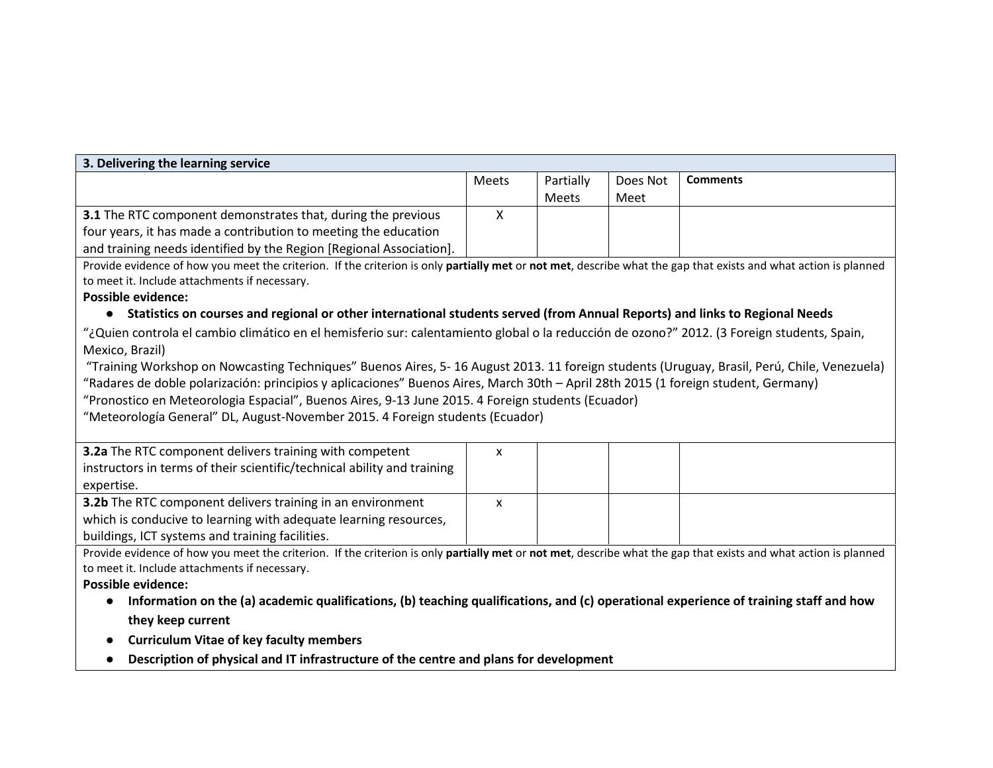| 3. Delivering the learning service                                                                                                                              |       |              |          |                 |  |  |
|-----------------------------------------------------------------------------------------------------------------------------------------------------------------|-------|--------------|----------|-----------------|--|--|
|                                                                                                                                                                 | Meets | Partially    | Does Not | <b>Comments</b> |  |  |
|                                                                                                                                                                 |       | <b>Meets</b> | Meet     |                 |  |  |
| 3.1 The RTC component demonstrates that, during the previous                                                                                                    | X     |              |          |                 |  |  |
| four years, it has made a contribution to meeting the education                                                                                                 |       |              |          |                 |  |  |
| and training needs identified by the Region [Regional Association].                                                                                             |       |              |          |                 |  |  |
| Provide evidence of how you meet the criterion. If the criterion is only partially met or not met, describe what the gap that exists and what action is planned |       |              |          |                 |  |  |
| to meet it. Include attachments if necessary.                                                                                                                   |       |              |          |                 |  |  |
| <b>Possible evidence:</b>                                                                                                                                       |       |              |          |                 |  |  |
| Statistics on courses and regional or other international students served (from Annual Reports) and links to Regional Needs                                     |       |              |          |                 |  |  |
| "¿Quien controla el cambio climático en el hemisferio sur: calentamiento global o la reducción de ozono?" 2012. (3 Foreign students, Spain,                     |       |              |          |                 |  |  |
| Mexico, Brazil)                                                                                                                                                 |       |              |          |                 |  |  |
| "Training Workshop on Nowcasting Techniques" Buenos Aires, 5-16 August 2013. 11 foreign students (Uruguay, Brasil, Perú, Chile, Venezuela)                      |       |              |          |                 |  |  |
| "Radares de doble polarización: principios y aplicaciones" Buenos Aires, March 30th - April 28th 2015 (1 foreign student, Germany)                              |       |              |          |                 |  |  |
| "Pronostico en Meteorologia Espacial", Buenos Aires, 9-13 June 2015. 4 Foreign students (Ecuador)                                                               |       |              |          |                 |  |  |
| "Meteorología General" DL, August-November 2015. 4 Foreign students (Ecuador)                                                                                   |       |              |          |                 |  |  |
|                                                                                                                                                                 |       |              |          |                 |  |  |
| 3.2a The RTC component delivers training with competent                                                                                                         | X     |              |          |                 |  |  |
| instructors in terms of their scientific/technical ability and training                                                                                         |       |              |          |                 |  |  |
| expertise.                                                                                                                                                      |       |              |          |                 |  |  |
| 3.2b The RTC component delivers training in an environment                                                                                                      | X     |              |          |                 |  |  |
| which is conducive to learning with adequate learning resources,                                                                                                |       |              |          |                 |  |  |
| buildings, ICT systems and training facilities.                                                                                                                 |       |              |          |                 |  |  |
| Provide evidence of how you meet the criterion. If the criterion is only partially met or not met, describe what the gap that exists and what action is planned |       |              |          |                 |  |  |
| to meet it. Include attachments if necessary.                                                                                                                   |       |              |          |                 |  |  |
| <b>Possible evidence:</b>                                                                                                                                       |       |              |          |                 |  |  |
| Information on the (a) academic qualifications, (b) teaching qualifications, and (c) operational experience of training staff and how<br>$\bullet$              |       |              |          |                 |  |  |
| they keep current                                                                                                                                               |       |              |          |                 |  |  |
| <b>Curriculum Vitae of key faculty members</b>                                                                                                                  |       |              |          |                 |  |  |
| Description of physical and IT infrastructure of the centre and plans for development                                                                           |       |              |          |                 |  |  |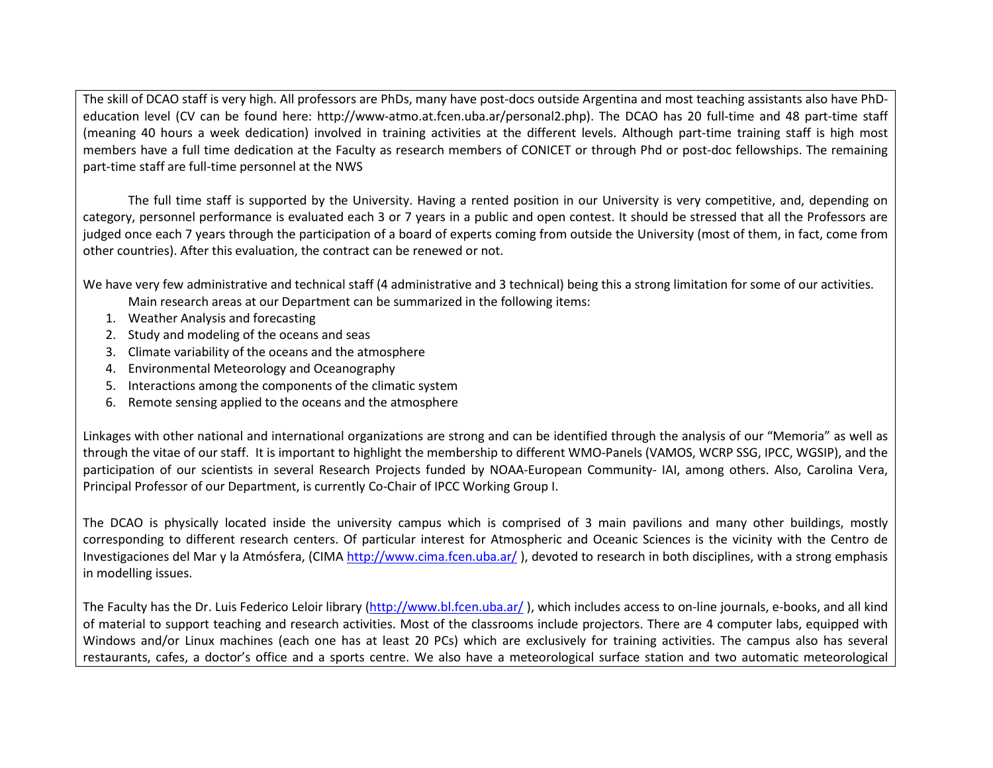The skill of DCAO staff is very high. All professors are PhDs, many have post-docs outside Argentina and most teaching assistants also have PhD education level (CV can be found here: http://www-atmo.at.fcen.uba.ar/personal2.php). The DCAO has 20 full-time and 48 part-time staff (meaning 40 hours a week dedication) involved in training activities at the different levels. Although part-time training staff is high most members have a full time dedication at the Faculty as research members of CONICET or through Phd or post-doc fellowships. The remaining part-time staff are full-time personnel at the NWS

 The full time staff is supported by the University. Having a rented position in our University is very competitive, and, depending on category, personnel performance is evaluated each 3 or 7 years in a public and open contest. It should be stressed that all the Professors are judged once each 7 years through the participation of a board of experts coming from outside the University (most of them, in fact, come from other countries). After this evaluation, the contract can be renewed or not.

We have very few administrative and technical staff (4 administrative and 3 technical) being this a strong limitation for some of our activities.

- Main research areas at our Department can be summarized in the following items:
- 1. Weather Analysis and forecasting
- 2. Study and modeling of the oceans and seas
- 3. Climate variability of the oceans and the atmosphere
- 4. Environmental Meteorology and Oceanography
- 5. Interactions among the components of the climatic system
- 6. Remote sensing applied to the oceans and the atmosphere

Linkages with other national and international organizations are strong and can be identified through the analysis of our "Memoria" as well as through the vitae of our staff. It is important to highlight the membership to different WMO-Panels (VAMOS, WCRP SSG, IPCC, WGSIP), and the participation of our scientists in several Research Projects funded by NOAA-European Community- IAI, among others. Also, Carolina Vera, Principal Professor of our Department, is currently Co-Chair of IPCC Working Group I.

The DCAO is physically located inside the university campus which is comprised of 3 main pavilions and many other buildings, mostly corresponding to different research centers. Of particular interest for Atmospheric and Oceanic Sciences is the vicinity with the Centro de Investigaciones del Mar y la Atmósfera, (CIMA http://www.cima.fcen.uba.ar/ ), devoted to research in both disciplines, with a strong emphasis in modelling issues.

The Faculty has the Dr. Luis Federico Leloir library (http://www.bl.fcen.uba.ar/ ), which includes access to on-line journals, e-books, and all kind of material to support teaching and research activities. Most of the classrooms include projectors. There are 4 computer labs, equipped with Windows and/or Linux machines (each one has at least 20 PCs) which are exclusively for training activities. The campus also has several restaurants, cafes, a doctor's office and a sports centre. We also have a meteorological surface station and two automatic meteorological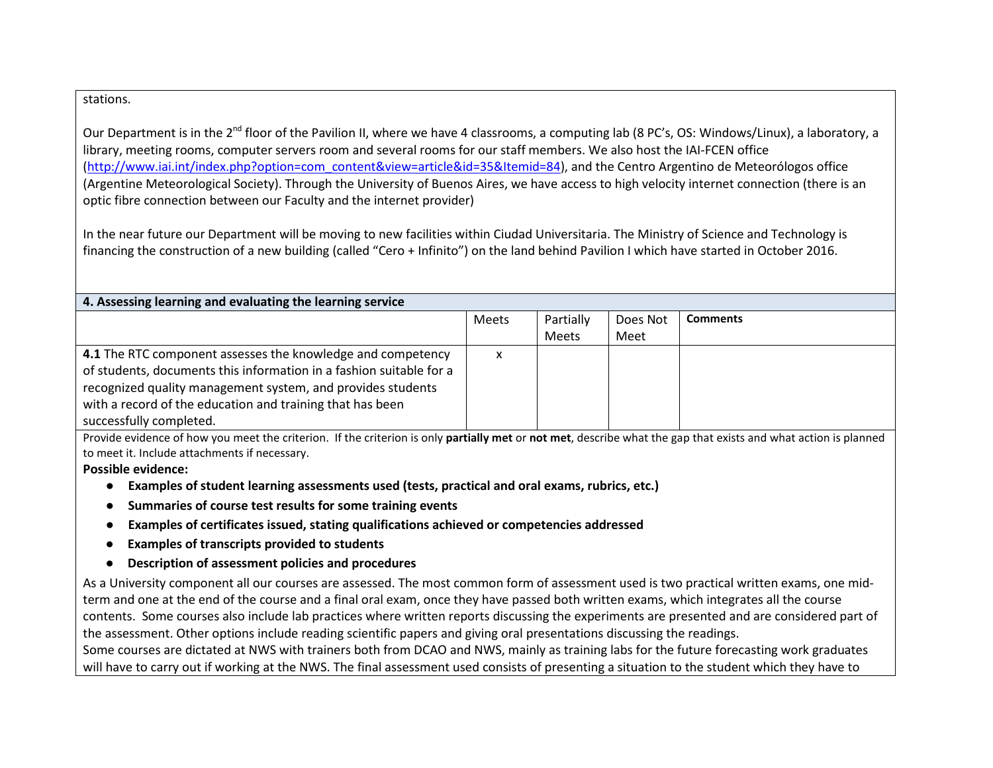#### stations.

Our Department is in the 2<sup>nd</sup> floor of the Pavilion II, where we have 4 classrooms, a computing lab (8 PC's, OS: Windows/Linux), a laboratory, a library, meeting rooms, computer servers room and several rooms for our staff members. We also host the IAI-FCEN office (http://www.iai.int/index.php?option=com\_content&view=article&id=35&Itemid=84), and the Centro Argentino de Meteorólogos office (Argentine Meteorological Society). Through the University of Buenos Aires, we have access to high velocity internet connection (there is an optic fibre connection between our Faculty and the internet provider)

In the near future our Department will be moving to new facilities within Ciudad Universitaria. The Ministry of Science and Technology is financing the construction of a new building (called "Cero + Infinito") on the land behind Pavilion I which have started in October 2016.

| 4. Assessing learning and evaluating the learning service           |              |              |          |                 |  |
|---------------------------------------------------------------------|--------------|--------------|----------|-----------------|--|
|                                                                     | <b>Meets</b> | Partially    | Does Not | <b>Comments</b> |  |
|                                                                     |              | <b>Meets</b> | Meet     |                 |  |
| 4.1 The RTC component assesses the knowledge and competency         | x            |              |          |                 |  |
| of students, documents this information in a fashion suitable for a |              |              |          |                 |  |
| recognized quality management system, and provides students         |              |              |          |                 |  |
| with a record of the education and training that has been           |              |              |          |                 |  |
| successfully completed.                                             |              |              |          |                 |  |

Provide evidence of how you meet the criterion. If the criterion is only **partially met** or **not met**, describe what the gap that exists and what action is planned to meet it. Include attachments if necessary.

# **Possible evidence:**

- **Examples of student learning assessments used (tests, practical and oral exams, rubrics, etc.)**
- ●**Summaries of course test results for some training events**
- ●**Examples of certificates issued, stating qualifications achieved or competencies addressed**
- ●**Examples of transcripts provided to students**
- **Description of assessment policies and procedures**

As a University component all our courses are assessed. The most common form of assessment used is two practical written exams, one midterm and one at the end of the course and a final oral exam, once they have passed both written exams, which integrates all the course contents. Some courses also include lab practices where written reports discussing the experiments are presented and are considered part of the assessment. Other options include reading scientific papers and giving oral presentations discussing the readings. Some courses are dictated at NWS with trainers both from DCAO and NWS, mainly as training labs for the future forecasting work graduates

will have to carry out if working at the NWS. The final assessment used consists of presenting a situation to the student which they have to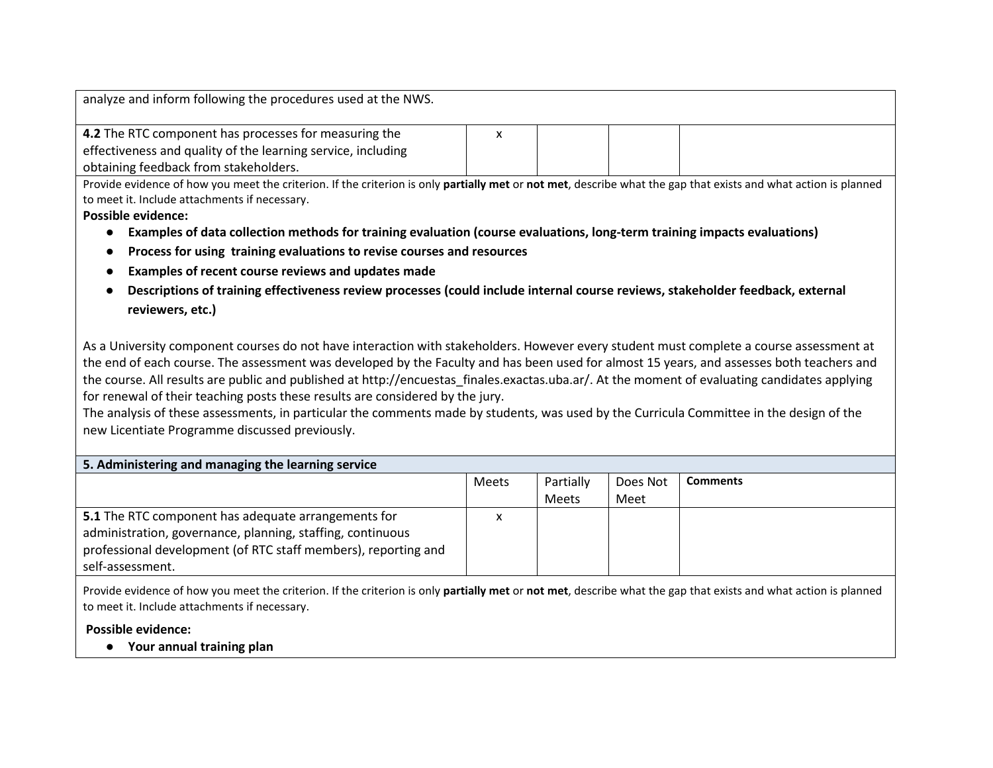| analyze and inform following the procedures used at the NWS.                                                                                                    |  |  |  |  |
|-----------------------------------------------------------------------------------------------------------------------------------------------------------------|--|--|--|--|
|                                                                                                                                                                 |  |  |  |  |
| 4.2 The RTC component has processes for measuring the                                                                                                           |  |  |  |  |
| effectiveness and quality of the learning service, including                                                                                                    |  |  |  |  |
| obtaining feedback from stakeholders.                                                                                                                           |  |  |  |  |
| Provide evidence of how you meet the criterion. If the criterion is only partially met or not met, describe what the gap that exists and what action is planned |  |  |  |  |
| to meet it. Include attachments if necessary.                                                                                                                   |  |  |  |  |

# **Possible evidence:**

- **Examples of data collection methods for training evaluation (course evaluations, long-term training impacts evaluations)**
- $\bullet$ **Process for using training evaluations to revise courses and resources**
- ●**Examples of recent course reviews and updates made**
- $\bullet$  **Descriptions of training effectiveness review processes (could include internal course reviews, stakeholder feedback, external reviewers, etc.)**

As a University component courses do not have interaction with stakeholders. However every student must complete a course assessment at the end of each course. The assessment was developed by the Faculty and has been used for almost 15 years, and assesses both teachers and the course. All results are public and published at http://encuestas\_finales.exactas.uba.ar/. At the moment of evaluating candidates applying for renewal of their teaching posts these results are considered by the jury.

 The analysis of these assessments, in particular the comments made by students, was used by the Curricula Committee in the design of the new Licentiate Programme discussed previously.

| 5. Administering and managing the learning service             |              |           |          |                 |  |
|----------------------------------------------------------------|--------------|-----------|----------|-----------------|--|
|                                                                | <b>Meets</b> | Partially | Does Not | <b>Comments</b> |  |
|                                                                |              | Meets     | Meet     |                 |  |
| 5.1 The RTC component has adequate arrangements for            | $\checkmark$ |           |          |                 |  |
| administration, governance, planning, staffing, continuous     |              |           |          |                 |  |
| professional development (of RTC staff members), reporting and |              |           |          |                 |  |
| self-assessment.                                               |              |           |          |                 |  |

Provide evidence of how you meet the criterion. If the criterion is only **partially met** or **not met**, describe what the gap that exists and what action is planned to meet it. Include attachments if necessary.

# **Possible evidence:**

● **Your annual training plan**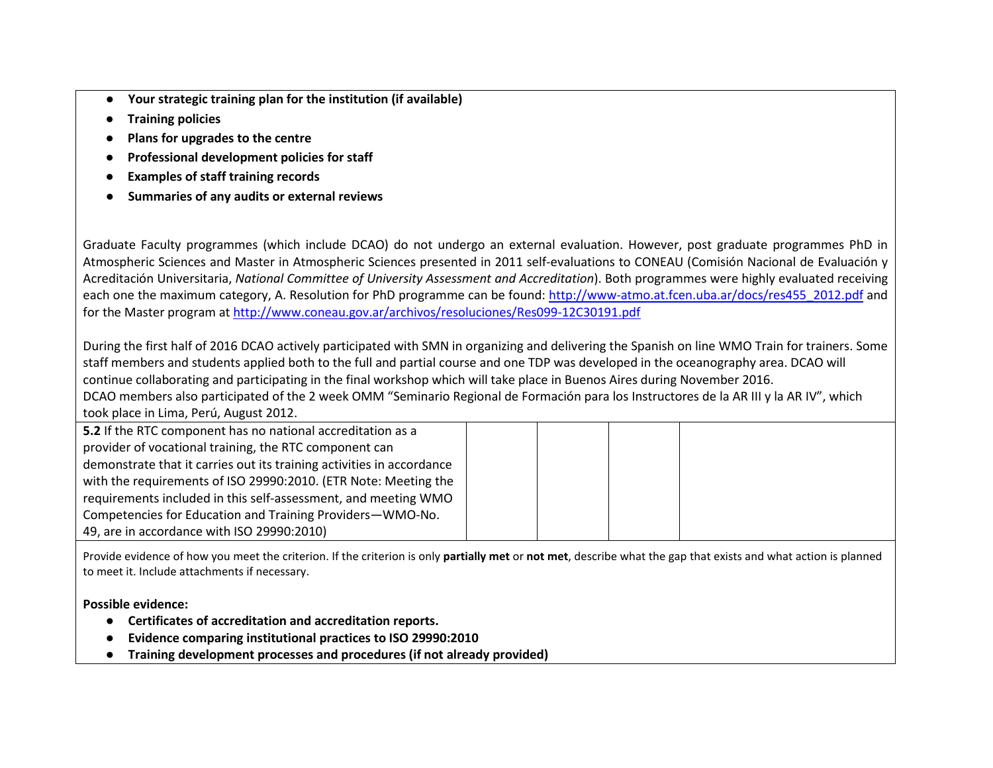- ●**Your strategic training plan for the institution (if available)**
- ●**Training policies**
- ●**Plans for upgrades to the centre**
- ●**Professional development policies for staff**
- ●**Examples of staff training records**
- ●**Summaries of any audits or external reviews**

Graduate Faculty programmes (which include DCAO) do not undergo an external evaluation. However, post graduate programmes PhD in Atmospheric Sciences and Master in Atmospheric Sciences presented in 2011 self-evaluations to CONEAU (Comisión Nacional de Evaluación y Acreditación Universitaria, *National Committee of University Assessment and Accreditation*). Both programmes were highly evaluated receiving each one the maximum category, A. Resolution for PhD programme can be found: http://www-atmo.at.fcen.uba.ar/docs/res455\_2012.pdf and for the Master program at http://www.coneau.gov.ar/archivos/resoluciones/Res099-12C30191.pdf

During the first half of 2016 DCAO actively participated with SMN in organizing and delivering the Spanish on line WMO Train for trainers. Some staff members and students applied both to the full and partial course and one TDP was developed in the oceanography area. DCAO will continue collaborating and participating in the final workshop which will take place in Buenos Aires during November 2016. DCAO members also participated of the 2 week OMM "Seminario Regional de Formación para los Instructores de la AR III y la AR IV", which took place in Lima, Perú, August 2012.

| 5.2 If the RTC component has no national accreditation as a           |  |  |  |
|-----------------------------------------------------------------------|--|--|--|
| provider of vocational training, the RTC component can                |  |  |  |
| demonstrate that it carries out its training activities in accordance |  |  |  |
| with the requirements of ISO 29990:2010. (ETR Note: Meeting the       |  |  |  |
| requirements included in this self-assessment, and meeting WMO        |  |  |  |
| Competencies for Education and Training Providers-WMO-No.             |  |  |  |
| 49, are in accordance with ISO 29990:2010)                            |  |  |  |

Provide evidence of how you meet the criterion. If the criterion is only **partially met** or **not met**, describe what the gap that exists and what action is planned to meet it. Include attachments if necessary.

# **Possible evidence:**

- **Certificates of accreditation and accreditation reports.**
- ●**Evidence comparing institutional practices to ISO 29990:2010**
- $\bullet$ **Training development processes and procedures (if not already provided)**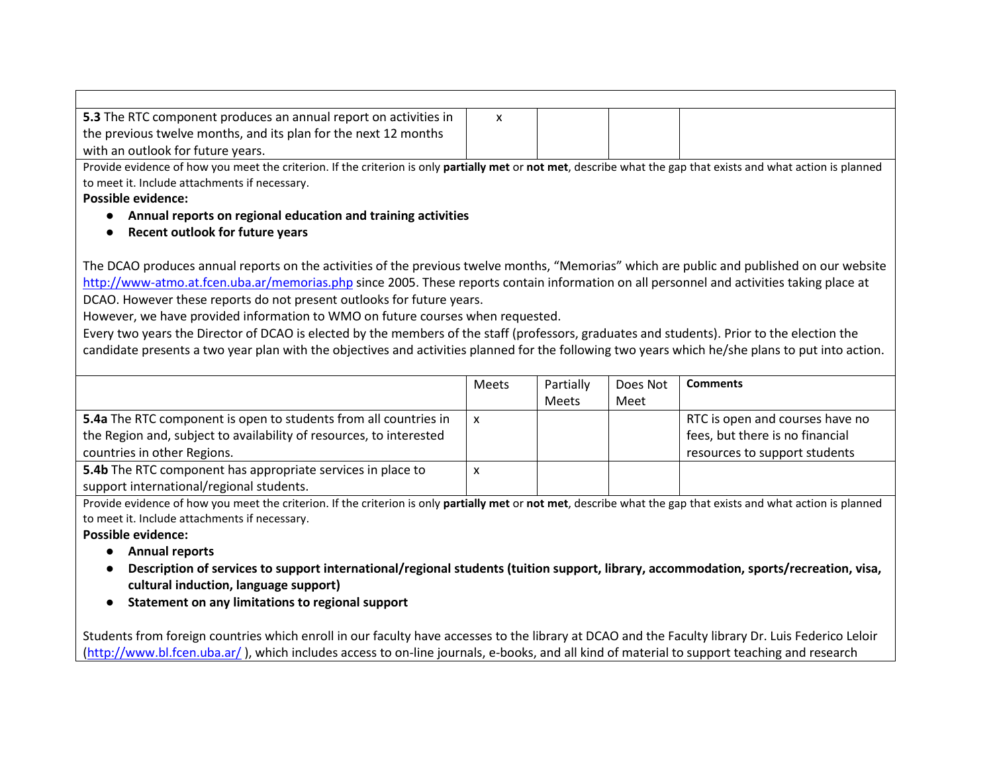| 5.3 The RTC component produces an annual report on activities in                                                                                                                                                                                                                                                                                                                                                                                                                                                                                                                                                                                                                                                                                      | $\mathsf{x}$ |                               |                             |                 |  |
|-------------------------------------------------------------------------------------------------------------------------------------------------------------------------------------------------------------------------------------------------------------------------------------------------------------------------------------------------------------------------------------------------------------------------------------------------------------------------------------------------------------------------------------------------------------------------------------------------------------------------------------------------------------------------------------------------------------------------------------------------------|--------------|-------------------------------|-----------------------------|-----------------|--|
| the previous twelve months, and its plan for the next 12 months                                                                                                                                                                                                                                                                                                                                                                                                                                                                                                                                                                                                                                                                                       |              |                               |                             |                 |  |
| with an outlook for future years.                                                                                                                                                                                                                                                                                                                                                                                                                                                                                                                                                                                                                                                                                                                     |              |                               |                             |                 |  |
| Provide evidence of how you meet the criterion. If the criterion is only partially met or not met, describe what the gap that exists and what action is planned                                                                                                                                                                                                                                                                                                                                                                                                                                                                                                                                                                                       |              |                               |                             |                 |  |
| to meet it. Include attachments if necessary.                                                                                                                                                                                                                                                                                                                                                                                                                                                                                                                                                                                                                                                                                                         |              |                               |                             |                 |  |
| <b>Possible evidence:</b>                                                                                                                                                                                                                                                                                                                                                                                                                                                                                                                                                                                                                                                                                                                             |              |                               |                             |                 |  |
| Annual reports on regional education and training activities                                                                                                                                                                                                                                                                                                                                                                                                                                                                                                                                                                                                                                                                                          |              |                               |                             |                 |  |
| Recent outlook for future years                                                                                                                                                                                                                                                                                                                                                                                                                                                                                                                                                                                                                                                                                                                       |              |                               |                             |                 |  |
| The DCAO produces annual reports on the activities of the previous twelve months, "Memorias" which are public and published on our website<br>http://www-atmo.at.fcen.uba.ar/memorias.php since 2005. These reports contain information on all personnel and activities taking place at<br>DCAO. However these reports do not present outlooks for future years.<br>However, we have provided information to WMO on future courses when requested.<br>Every two years the Director of DCAO is elected by the members of the staff (professors, graduates and students). Prior to the election the<br>candidate presents a two year plan with the objectives and activities planned for the following two years which he/she plans to put into action. |              |                               |                             |                 |  |
|                                                                                                                                                                                                                                                                                                                                                                                                                                                                                                                                                                                                                                                                                                                                                       | <b>Meets</b> | Partially<br>$M \sim 10^{-4}$ | Does Not<br>$M \cap \cap +$ | <b>Comments</b> |  |

|                                                                     |   | Meets | Meet |                                 |
|---------------------------------------------------------------------|---|-------|------|---------------------------------|
| 5.4a The RTC component is open to students from all countries in    | X |       |      | RTC is open and courses have no |
| the Region and, subject to availability of resources, to interested |   |       |      | fees, but there is no financial |
| countries in other Regions.                                         |   |       |      | resources to support students   |
| 5.4b The RTC component has appropriate services in place to         | х |       |      |                                 |
| support international/regional students.                            |   |       |      |                                 |

Provide evidence of how you meet the criterion. If the criterion is only **partially met** or **not met**, describe what the gap that exists and what action is planned to meet it. Include attachments if necessary.

# **Possible evidence:**

- **Annual reports**
- $\bullet$  **Description of services to support international/regional students (tuition support, library, accommodation, sports/recreation, visa, cultural induction, language support)**
- **Statement on any limitations to regional support**

Students from foreign countries which enroll in our faculty have accesses to the library at DCAO and the Faculty library Dr. Luis Federico Leloir (http://www.bl.fcen.uba.ar/), which includes access to on-line journals, e-books, and all kind of material to support teaching and research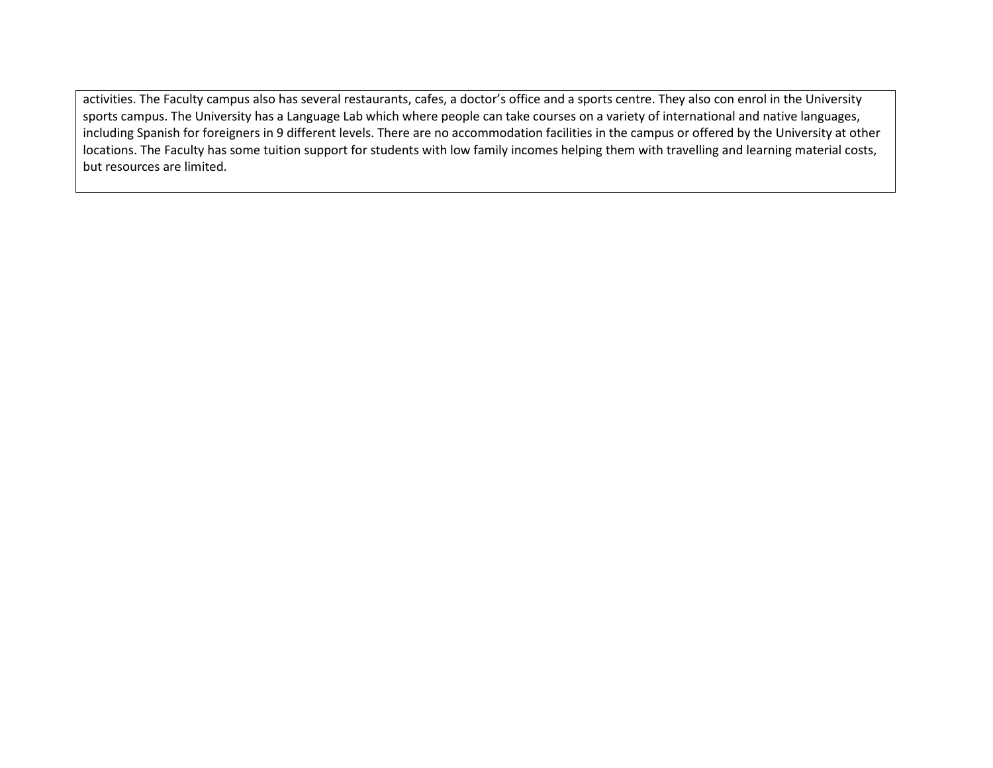activities. The Faculty campus also has several restaurants, cafes, a doctor's office and a sports centre. They also con enrol in the University sports campus. The University has a Language Lab which where people can take courses on a variety of international and native languages, including Spanish for foreigners in 9 different levels. There are no accommodation facilities in the campus or offered by the University at other locations. The Faculty has some tuition support for students with low family incomes helping them with travelling and learning material costs, but resources are limited.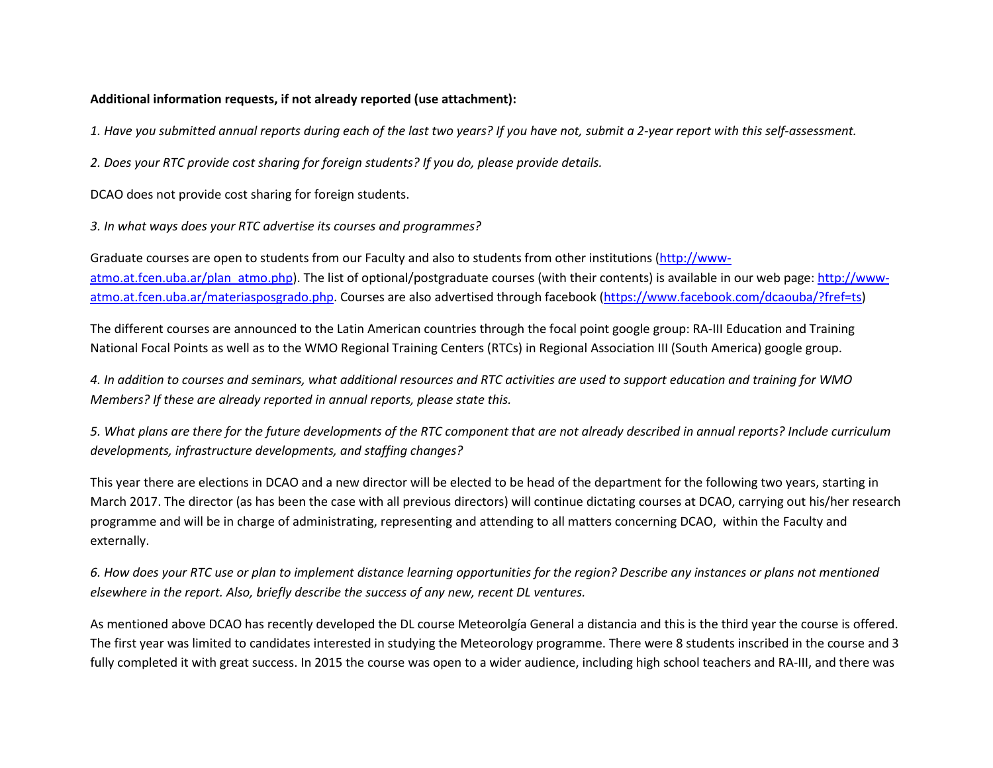#### **Additional information requests, if not already reported (use attachment):**

*1. Have you submitted annual reports during each of the last two years? If you have not, submit a 2-year report with this self-assessment.* 

*2. Does your RTC provide cost sharing for foreign students? If you do, please provide details.* 

DCAO does not provide cost sharing for foreign students.

*3. In what ways does your RTC advertise its courses and programmes?* 

Graduate courses are open to students from our Faculty and also to students from other institutions (http://wwwatmo.at.fcen.uba.ar/plan\_atmo.php). The list of optional/postgraduate courses (with their contents) is available in our web page: http://wwwatmo.at.fcen.uba.ar/materiasposgrado.php. Courses are also advertised through facebook (https://www.facebook.com/dcaouba/?fref=ts)

The different courses are announced to the Latin American countries through the focal point google group: RA-III Education and Training National Focal Points as well as to the WMO Regional Training Centers (RTCs) in Regional Association III (South America) google group.

*4. In addition to courses and seminars, what additional resources and RTC activities are used to support education and training for WMO Members? If these are already reported in annual reports, please state this.* 

*5. What plans are there for the future developments of the RTC component that are not already described in annual reports? Include curriculum developments, infrastructure developments, and staffing changes?* 

This year there are elections in DCAO and a new director will be elected to be head of the department for the following two years, starting in March 2017. The director (as has been the case with all previous directors) will continue dictating courses at DCAO, carrying out his/her research programme and will be in charge of administrating, representing and attending to all matters concerning DCAO, within the Faculty and externally.

*6. How does your RTC use or plan to implement distance learning opportunities for the region? Describe any instances or plans not mentioned elsewhere in the report. Also, briefly describe the success of any new, recent DL ventures.* 

As mentioned above DCAO has recently developed the DL course Meteorolgía General a distancia and this is the third year the course is offered. The first year was limited to candidates interested in studying the Meteorology programme. There were 8 students inscribed in the course and 3 fully completed it with great success. In 2015 the course was open to a wider audience, including high school teachers and RA-III, and there was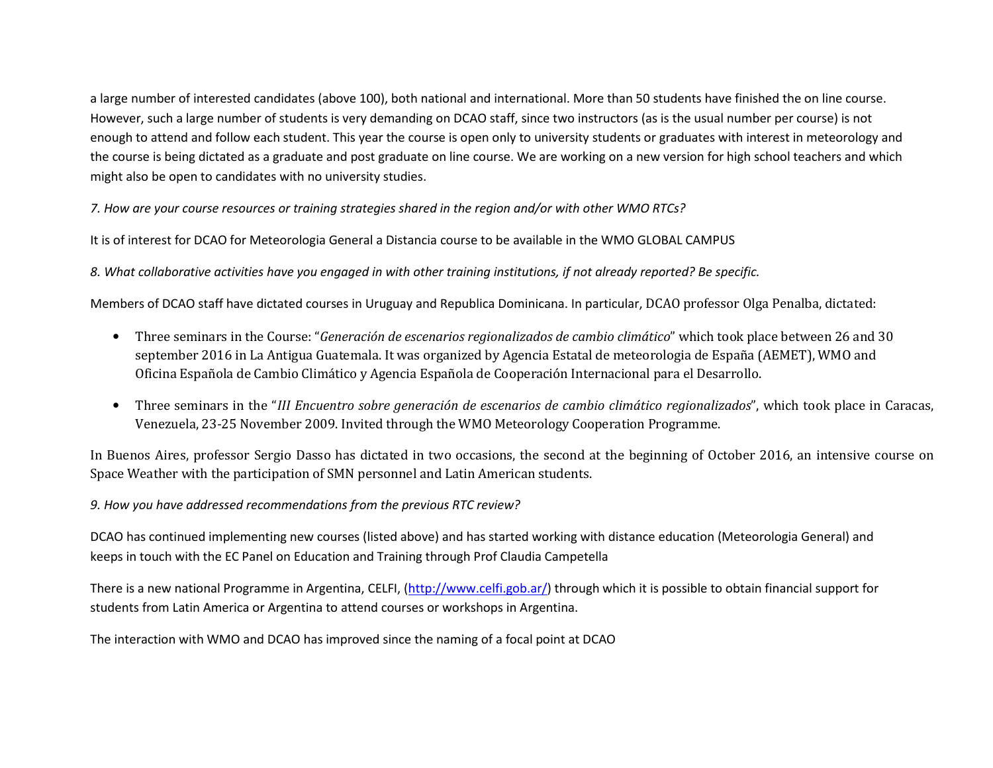a large number of interested candidates (above 100), both national and international. More than 50 students have finished the on line course. However, such a large number of students is very demanding on DCAO staff, since two instructors (as is the usual number per course) is not enough to attend and follow each student. This year the course is open only to university students or graduates with interest in meteorology and the course is being dictated as a graduate and post graduate on line course. We are working on a new version for high school teachers and which might also be open to candidates with no university studies.

*7. How are your course resources or training strategies shared in the region and/or with other WMO RTCs?* 

It is of interest for DCAO for Meteorologia General a Distancia course to be available in the WMO GLOBAL CAMPUS

*8. What collaborative activities have you engaged in with other training institutions, if not already reported? Be specific.* 

Members of DCAO staff have dictated courses in Uruguay and Republica Dominicana. In particular, DCAO professor Olga Penalba, dictated:

- $\bullet$  Three seminars in the Course: "*Generación de escenarios regionalizados de cambio climático*" which took place between 26 and 30 september 2016 in La Antigua Guatemala. It was organized by Agencia Estatal de meteorologia de España (AEMET), WMO and Oficina Española de Cambio Climático y Agencia Española de Cooperación Internacional para el Desarrollo.
- $\bullet$  Three seminars in the "*III Encuentro sobre generación de escenarios de cambio climático regionalizados*", which took place in Caracas, Venezuela, 23-25 November 2009. Invited through the WMO Meteorology Cooperation Programme.

In Buenos Aires, professor Sergio Dasso has dictated in two occasions, the second at the beginning of October 2016, an intensive course on Space Weather with the participation of SMN personnel and Latin American students.

*9. How you have addressed recommendations from the previous RTC review?* 

DCAO has continued implementing new courses (listed above) and has started working with distance education (Meteorologia General) and keeps in touch with the EC Panel on Education and Training through Prof Claudia Campetella

There is a new national Programme in Argentina, CELFI, (http://www.celfi.gob.ar/) through which it is possible to obtain financial support for students from Latin America or Argentina to attend courses or workshops in Argentina.

The interaction with WMO and DCAO has improved since the naming of a focal point at DCAO